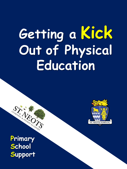# **Getting a Kick Out of Physical Education**



**Primary School Support** 

SITE OF SPORTS OF THE ROADER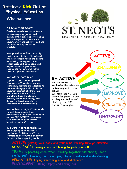## **Getting a Kick Out of Physical Education Who we are....**

#### **As Qualified Sport**

**Professionals we are dedicated to increasing engagement and learning within school sport by using our knowledge and experience to educate staff and pupils to lead and sustain a healthy and active lifestyle.** 

#### **We provide a Partnership**

**that is aimed to best fit and mould into your schools values and beliefs by tailoring our support to your school needs and going above and beyond to ensure your school reaches its full potential within sport and physical educations.**

#### **We offer continued support and development**

**from our staff members who are continuingly learning and adapting to the ever changing world of physical education amongst children. We look to work with staff on everything from the planning process, health and safety, and delivery to boost your staff's confidence and understanding.**

#### **We achieve high Standards**

**through being punctual and professional at all times. Sticking to our own "BE ACTIVE" rules along with adhering to your schools behaviour codes of conduct.**

**We Are Approachable, we are always open to new ideas, sharing our facilities, staff and contacts to best improve or provide for your schools sporting needs.** 



**ACTIVE**

**CHALLENGE**

**TEAM**

**IMPROVE**

**VERSATIL** 

**ENVIROMENT** 

## **BE ACTIVE**

**We continuing to emphasise this when we deliver any activity in school. We keep "BE ACTIVE" visible for pupils to see so they can follow and abide by the "BE ACTIVE" principles** 

#### **ACTIVE: getting your body and your mind working through exercise CHALLENGE: Taking risks and trying to push yourself**

**TEAM: Supporting each other, working together and sharing idea's IMPROVE: Learning and developing physical skills and understanding VERSATILE: Trying something new and different ENVIROMENT: Being Happy and having fun**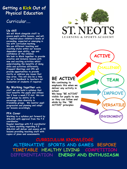## **Getting a Kick Out of Physical Education**

### Curricular....

#### **Up skill**

**We will Work alongside staff to assess pupils within lessons, and will, if required place children's levels at exceeding, expected or emerging in line with curriculum marking. We use different teaching and coaching styles within our lessons dependent upon ability, age and confidence of the children. We look to Work together to provide creative and inclusive lessons with new and exciting activities whilst understanding the benefits of doing skills and activities differently. Frequent Meetings and CPD will provide opportunities to provide clarity or address any issues that may arise. This will also be a time for us to feedback to teachers our evaluation of students if required.**

#### **By Working together with**

**staff we can build a syllabus that best benefits the pupils and utilises the 2 hour a week P.E slot. We can split groups by ability or to encourage class diversity in friendship groups. We monitor pupil progression and planning and adapt our lessons accordingly.**

#### **PPA Cover**

**Working to a syllabus put forward by SNLASA with approval from the P.E coordinator. Regular meetings with P.E coordinator to share anything regarding P.E SNLASA will deliver and assess all PE lessons providing teaching staff with** 

**copies of plans and assessments.**



**ACTIVE**

**CHALLENGE**

**TEAM**

**IMPROVE**

**VERSATI** 

**ENVIROMENT** 

## **BE ACTIVE**

**We continuing to emphasis this when we deliver any activity in school.** 

**We keep "BE ACTIVE" visible for pupils to see so they can follow and abide by the "BE ACTIVE" principles** 

**CURRICULUM KNOWLEDGE ALTERNATIVE SPORTS AND GAMES BESPOKE TIMETABLE HEALTHY LIVING COMPETITION DIFFERENTIATION ENERGY AND ENTHUSIASM**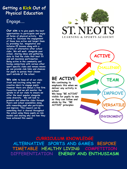## **Getting a Kick Out of Physical Education**

## Engage....

**Our aim is to give pupils the best opportunities to participate and enjoy all forms of physical activity. We strive to Increase the engagement of those less active and target them by providing fun, imaginative and inclusive PE lessons along with a variety of alternative after school clubs. We will work alongside your school, sharing ideas and gathering data to find the clubs that best fit and will maximise participation. Being active in the community and having connections with various other sport specific clubs and venues means we can provide club links and chances for pupils to pursue their chosen sport outside of the school.**

**We aim to keep all of our clubs fresh and exciting using new and creative idea's to engage pupils. However there are always a few firm favourites and we will moniter the uptake in all our clubs to ensure we offer the most popular alongside some diversity. We will look to promote and advertise clubs through flyers and school assemblies along with rewarding pupil who participate and improve. This reward can be something that is shared throughout the school using these pupils as role models and sharing why and how they have achieved this award.** 



**ACTIVE**

**CHALLENGE**

**TEAM**

**IMPROVE**

**VERSATIL** 

**ENVIROMENT** 

## **BE ACTIVE**

**We continuing to emphasis this when we deliver any activity in school. We keep "BE ACTIVE" visible for pupils to see** 

**so they can follow and abide by the "BE ACTIVE" principles** 

**CURRICULUM KNOWLEDGE ALTERNATIVE SPORTS AND GAMES BESPOKE TIMETABLE HEALTHY LIVING COMPETITION DIFFERENTIATION ENERGY AND ENTHUSIASM**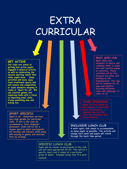# EXTRA CURRICULAR

#### **GET ACTIVE**

**Our clubs are aimed at getting less active pupils engaged in physical activity as well as celebrating the natural sporting talent that other pupils have. Some activities will move away from traditional sports and will remove any competition or team elements meaning it really is 'Sport for all' We use creative games and exploring tasks with a focus on improving basic skills, trying something new and having fun.** 

#### **SPORT SPECIFIC**

**Open to all. Sometimes we have very high uptake for particular clubs, if this is the case we recommend a 'first response' placement. Clubs will be for a chosen sport in which participants will develop and enhance skills along with playing in games and matches that we arrange.**

**Multi skills club Multi skills uses elements of sports and combines them to make new and creative games or activities. These activities will be fun, inclusive but while still working on the fundamentals. The club will be adapted for all ages and abilities including different roles and challenges to tailor to all.** 

#### **TRATNTI**

**Pupils who are chosen to participate in a particular event for increased skill** 

#### **INCLUSIVE LUNCH CLUB**

**A multi-sport club aimed to accommodate as many pupils as possible. The activity will change each week and pupils will rotate through the lunch time period.**

#### **SPECIFIC LUNCH CLUB**

**Pupils will be chosen to participate in this club and will need appropriate PE kit. This will be a specific sport and is aimed at a particular group of pupils. Example being Year 5-6 girls football**.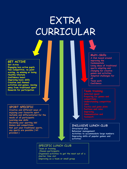## EXTRA CURRICULAR

#### **GET ACTIVE**

**Get Active Engaging less active pupils Non Competitive, no point scoring, no winning or losing Healthy lifestyle Confidence boost Improving basic skills Creative and themed activities and games, moving away from traditional sport Rewards for participation**

#### **SPORT SPECIFIC**

**Creative and different ways of enjoying your favourite sport Suitable and differentiated for the needs of all participants Learning new skills Becoming your sporting idol Games and competitions Not just your traditional sports, any sports are possible ( kit provided )**

**Multi-Skills**

**A Club based around improving the fundamentals Using ideas of traditional sports adapting and changing for creative games and activities Adapted challenges for all**

**Team work Confidence**

**Team training Selected squad Understanding competition Tactics and game plans Positions and roles Communication and** 

#### **INCLUSIVE LUNCH CLUB**

**Structured play Behaviour management Activities to accommodate large numbers Improving skills of popular games and activities**

#### **SPECIFIC LUNCH CLUB**

**Team or training Chosen participants Organised activities to get the most out of a shorter time slot Improving as a team or small group**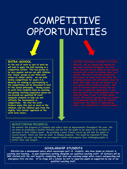## **COMPETITIVE** OPPORTUNITIES



#### **INTRA-SCHOOL**

**At the end of term or unit of work we will look to apply the KS2 learning in a competition format. This has proven to be very popular and we can split children into 'house' groups or put them with others of similar ability. we can hold termly competitions for years 3-6. Rewards for winning or participating in the competitions will be discussed to best fit the school philosophy. Having access to sixth form students keen on coaching and gaining coaching experience means we can provide our qualified PE staff alongside students to help run and officiate the tournaments or competitions. We find the sixthformers enjoy this just as much as the children, and the children gain from the slightly 'less formal' approach of the sixth form tutors.** 

**OOL COMPETITION own sport festivals throughout the year . providing inclusion and participation days for pupils that might not get the chance to go** 

#### MONITORING PROGRESS

**We monitor the progress of students and collect data on improvements throughout the year. We are keen on promoting a healthy lifestyle and aim for the pupils to be aware of an increase or decrease in their fitness levels. By providing a basic fitness circuit we will look for pupils to record results which can then be used to display progress. This would be repeated 3 times throughout the year and then we can compare results and progress thus challenging pupils to better their own targets.**

#### **SCHOLARSHIP STUDENTS**

**SNLASA has a development policy which encourages post 16 students, who have shown an interest in coaching and teaching, to gain experience working alongside our qualified coaching staff. All Scholars will be DBS checked with the vast majority completing their level one coaching badge which covers safeguarding and emergency first aid also. At no stage will a scholar be left to supervise pupils un supported by one of our qualified coaching staff.**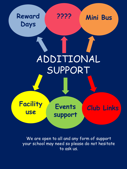

**Mini Bus ????**



**Facility use** 

**Events support**

**Club Links** 

We are open to all and any form of support your school may need so please do not hesitate to ask us.